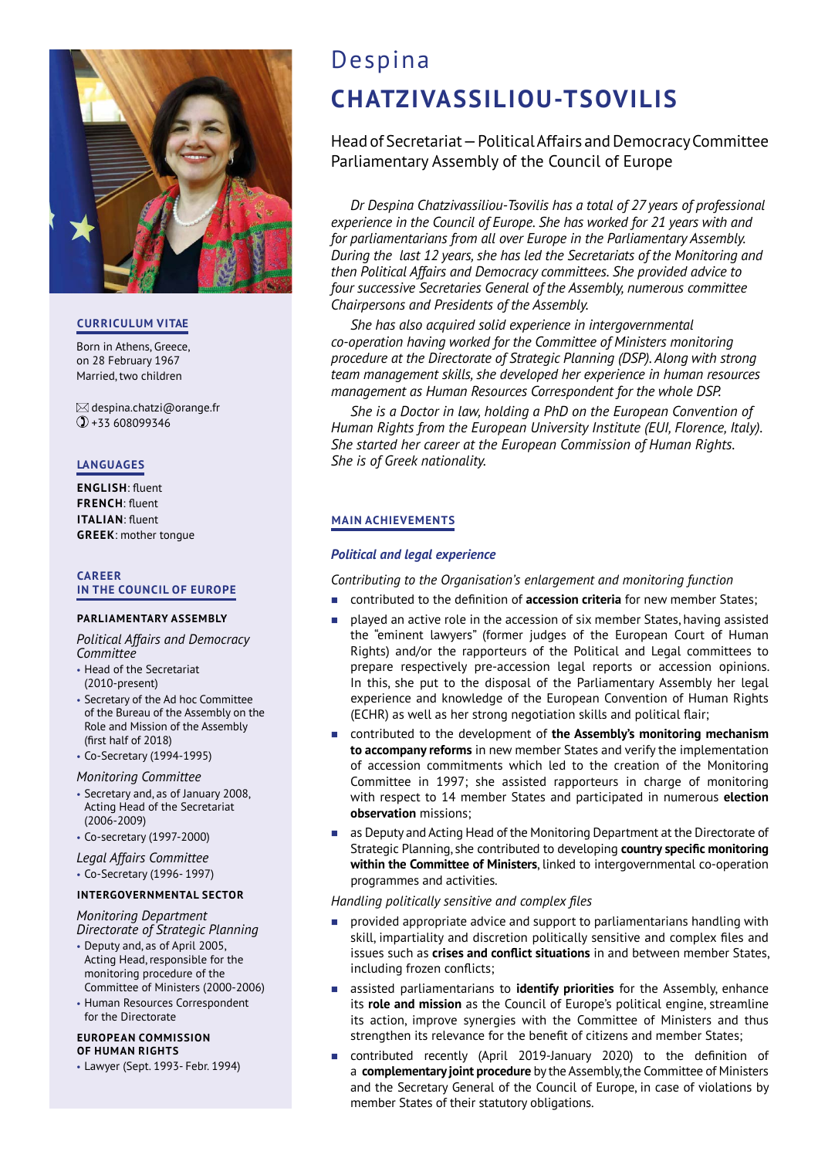

## **CURRICULUM VITAE**

Born in Athens, Greece, on 28 February 1967 Married, two children

 $\boxtimes$  despina.chatzi@orange.fr +33 608099346

## **LANGUAGES**

**ENGLISH**: fluent **FRENCH:** fluent **ITALIAN**: fluent **GREEK**: mother tongue

## **CAREER IN THE COUNCIL OF EUROPE**

## **PARLIAMENTARY ASSEMBLY**

*Political Affairs and Democracy Committee*

- Head of the Secretariat (2010-present)
- Secretary of the Ad hoc Committee of the Bureau of the Assembly on the Role and Mission of the Assembly (first half of 2018)
- Co-Secretary (1994-1995)

## *Monitoring Committee*

- Secretary and, as of January 2008, Acting Head of the Secretariat (2006-2009)
- Co-secretary (1997-2000)

## *Legal Affairs Committee*

• Co-Secretary (1996- 1997)

## **INTERGOVERNMENTAL SECTOR**

*Monitoring Department Directorate of Strategic Planning*

- Deputy and, as of April 2005, Acting Head, responsible for the monitoring procedure of the Committee of Ministers (2000-2006)
- Human Resources Correspondent for the Directorate

#### **EUROPEAN COMMISSION OF HUMAN RIGHTS**

• Lawyer (Sept. 1993- Febr. 1994)

# Despina **CHATZIVASSILIOU-TSOVILIS**

## Head of Secretariat — Political Affairs and Democracy Committee Parliamentary Assembly of the Council of Europe

*Dr Despina Chatzivassiliou-Tsovilis has a total of 27 years of professional experience in the Council of Europe. She has worked for 21 years with and for parliamentarians from all over Europe in the Parliamentary Assembly. During the last 12 years, she has led the Secretariats of the Monitoring and then Political Affairs and Democracy committees. She provided advice to four successive Secretaries General of the Assembly, numerous committee Chairpersons and Presidents of the Assembly.* 

*She has also acquired solid experience in intergovernmental co-operation having worked for the Committee of Ministers monitoring procedure at the Directorate of Strategic Planning (DSP). Along with strong team management skills, she developed her experience in human resources management as Human Resources Correspondent for the whole DSP.* 

*She is a Doctor in law, holding a PhD on the European Convention of Human Rights from the European University Institute (EUI, Florence, Italy). She started her career at the European Commission of Human Rights. She is of Greek nationality.*

## **MAIN ACHIEVEMENTS**

## *Political and legal experience*

*Contributing to the Organisation's enlargement and monitoring function*

- contributed to the definition of **accession criteria** for new member States;
- played an active role in the accession of six member States, having assisted the "eminent lawyers" (former judges of the European Court of Human Rights) and/or the rapporteurs of the Political and Legal committees to prepare respectively pre-accession legal reports or accession opinions. In this, she put to the disposal of the Parliamentary Assembly her legal experience and knowledge of the European Convention of Human Rights (ECHR) as well as her strong negotiation skills and political flair;
- contributed to the development of **the Assembly's monitoring mechanism to accompany reforms** in new member States and verify the implementation of accession commitments which led to the creation of the Monitoring Committee in 1997; she assisted rapporteurs in charge of monitoring with respect to 14 member States and participated in numerous **election observation** missions;
- as Deputy and Acting Head of the Monitoring Department at the Directorate of Strategic Planning, she contributed to developing **country specific monitoring within the Committee of Ministers**, linked to intergovernmental co-operation programmes and activities.

## *Handling politically sensitive and complex files*

- provided appropriate advice and support to parliamentarians handling with skill, impartiality and discretion politically sensitive and complex files and issues such as **crises and conflict situations** in and between member States, including frozen conflicts;
- assisted parliamentarians to **identify priorities** for the Assembly, enhance its **role and mission** as the Council of Europe's political engine, streamline its action, improve synergies with the Committee of Ministers and thus strengthen its relevance for the benefit of citizens and member States;
- ontributed recently (April 2019-January 2020) to the definition of a **complementary joint procedure** by the Assembly, the Committee of Ministers and the Secretary General of the Council of Europe, in case of violations by member States of their statutory obligations.